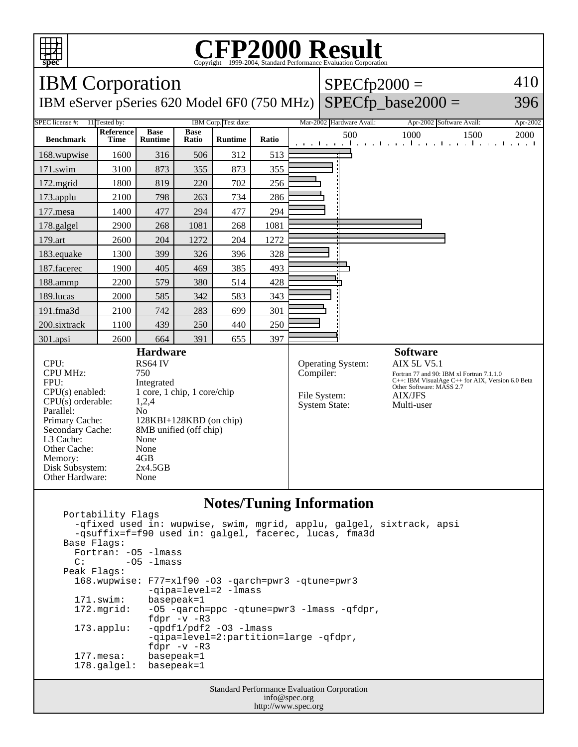

## **CFP2000 Result** Copyright ©1999-2004, Standard I

IBM Corporation IBM eServer pSeries 620 Model 6F0 (750 MHz)  $SPECfp2000 =$  $SPECfp\_base2000 =$ 410 396 SPEC license #: 11 Tested by: IBM Corp. Test date: Mar-2002 Hardware Avail: Apr-2002 Software Avail: Apr-2002 **Benchmark Reference Time Base Runtime Base Ratio Runtime Ratio** 500 1000 1500 2000 168.wupwise 1600 316 506 312 513 171.swim | 3100 | 873 | 355 | 873 | 355 172.mgrid | 1800 | 819 | 220 | 702 | 256 173.applu | 2100 | 798 | 263 | 734 | 286 177.mesa | 1400 | 477 | 294 | 477 | 294 178.galgel | 2900 | 268 | 1081 | 268 | 1081 179.art 2600 204 1272 204 1272 183.equake 1300 399 326 396 328 187.facerec | 1900 | 405 | 469 | 385 | 493 188.ammp | 2200 | 579 | 380 | 514 | 428 189.lucas | 2000 | 585 | 342 | 583 | 343 191.fma3d 2100 742 283 699 301 200.sixtrack 1100 439 250 440 250 301.apsi 2600 664 391 655 397 **Hardware** CPU: RS64 IV<br>CPU MHz: 750 CPU MHz: FPU: Integrated  $CPU(s)$  enabled:  $1 core, 1 chip, 1 core/chip$ <br> $CPU(s)$  orderable:  $1.2.4$  $CPU(s)$  orderable: Parallel: No<br>Primary Cache: 128 128KBI+128KBD (on chip) Secondary Cache: 8MB unified (off chip) L3 Cache: None Other Cache: None<br>Memory: 4GB Memory: 4GB<br>Disk Subsystem: 2x4.5GB Disk Subsystem: Other Hardware: None **Software** Operating System: AIX 5L V5.1 Compiler: Fortran 77 and 90: IBM xl Fortran 7.1.1.0 C++: IBM VisualAge C++ for AIX, Version 6.0 Beta Other Software: MASS 2.7 File System: AIX/JFS System State: Multi-user

## **Notes/Tuning Information**

```
 Portability Flags
  -qfixed used in: wupwise, swim, mgrid, applu, galgel, sixtrack, apsi
  -qsuffix=f=f90 used in: galgel, facerec, lucas, fma3d
Base Flags:
  Fortran: -O5 -lmass
 C: -05 -1mass
Peak Flags:
  168.wupwise: F77=xlf90 -O3 -qarch=pwr3 -qtune=pwr3 
               -qipa=level=2 -lmass
  171.swim: basepeak=1
  172.mgrid: -O5 -qarch=ppc -qtune=pwr3 -lmass -qfdpr, 
               fdpr -v -R3
  173.applu: -qpdf1/pdf2 -O3 -lmass 
               -qipa=level=2:partition=large -qfdpr, 
               fdpr -v -R3
  177.mesa: basepeak=1
  178.galgel: basepeak=1
```
Standard Performance Evaluation Corporation info@spec.org http://www.spec.org